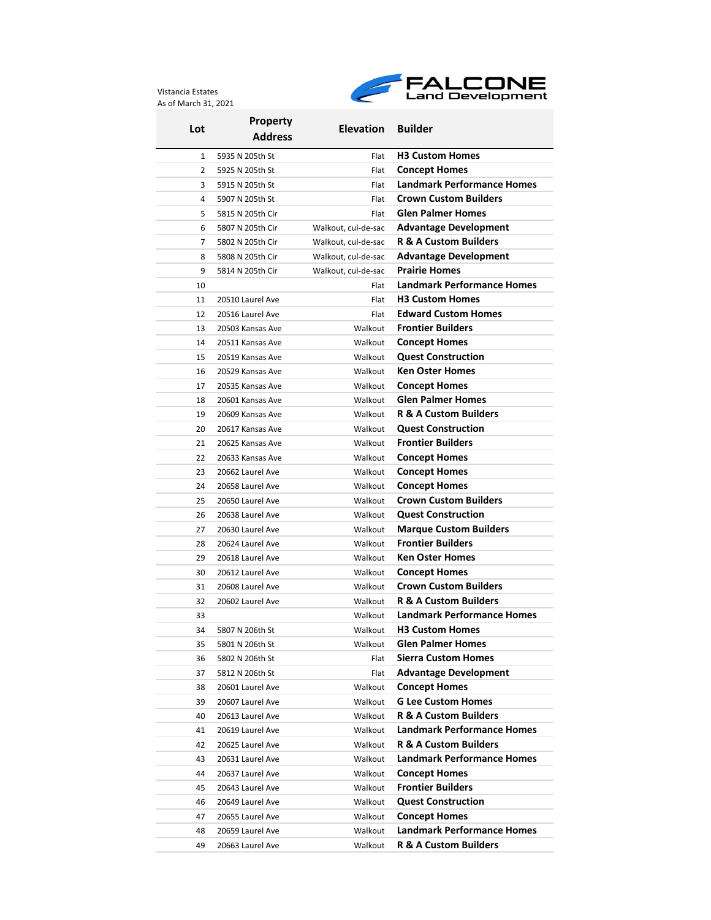Vistancia Estates As of March 31, 2021



| Lot | <b>Property</b>  | <b>Elevation Builder</b> |                                   |  |
|-----|------------------|--------------------------|-----------------------------------|--|
|     | <b>Address</b>   |                          |                                   |  |
| 1   | 5935 N 205th St  | Flat                     | <b>H3 Custom Homes</b>            |  |
| 2   | 5925 N 205th St  | Flat                     | <b>Concept Homes</b>              |  |
| 3   | 5915 N 205th St  | Flat                     | <b>Landmark Performance Homes</b> |  |
| 4   | 5907 N 205th St  | Flat                     | <b>Crown Custom Builders</b>      |  |
| 5   | 5815 N 205th Cir | Flat                     | <b>Glen Palmer Homes</b>          |  |
| 6   | 5807 N 205th Cir | Walkout, cul-de-sac      | <b>Advantage Development</b>      |  |
| 7   | 5802 N 205th Cir | Walkout, cul-de-sac      | <b>R &amp; A Custom Builders</b>  |  |
| 8   | 5808 N 205th Cir | Walkout, cul-de-sac      | <b>Advantage Development</b>      |  |
| 9   | 5814 N 205th Cir | Walkout, cul-de-sac      | <b>Prairie Homes</b>              |  |
| 10  |                  | Flat                     | <b>Landmark Performance Homes</b> |  |
| 11  | 20510 Laurel Ave | Flat                     | <b>H3 Custom Homes</b>            |  |
| 12  | 20516 Laurel Ave | Flat                     | <b>Edward Custom Homes</b>        |  |
| 13  | 20503 Kansas Ave | Walkout                  | <b>Frontier Builders</b>          |  |
| 14  | 20511 Kansas Ave | Walkout                  | <b>Concept Homes</b>              |  |
| 15  | 20519 Kansas Ave | Walkout                  | <b>Quest Construction</b>         |  |
| 16  | 20529 Kansas Ave | Walkout                  | <b>Ken Oster Homes</b>            |  |
| 17  | 20535 Kansas Ave | Walkout                  | <b>Concept Homes</b>              |  |
| 18  | 20601 Kansas Ave | Walkout                  | <b>Glen Palmer Homes</b>          |  |
| 19  | 20609 Kansas Ave | Walkout                  | <b>R &amp; A Custom Builders</b>  |  |
| 20  | 20617 Kansas Ave | Walkout                  | <b>Quest Construction</b>         |  |
| 21  | 20625 Kansas Ave | Walkout                  | <b>Frontier Builders</b>          |  |
| 22  | 20633 Kansas Ave | Walkout                  | <b>Concept Homes</b>              |  |
| 23  | 20662 Laurel Ave | Walkout                  | <b>Concept Homes</b>              |  |
| 24  | 20658 Laurel Ave | Walkout                  | <b>Concept Homes</b>              |  |
| 25  | 20650 Laurel Ave | Walkout                  | <b>Crown Custom Builders</b>      |  |
| 26  | 20638 Laurel Ave | Walkout                  | <b>Quest Construction</b>         |  |
| 27  | 20630 Laurel Ave | Walkout                  | <b>Marque Custom Builders</b>     |  |
| 28  | 20624 Laurel Ave | Walkout                  | <b>Frontier Builders</b>          |  |
| 29  | 20618 Laurel Ave | Walkout                  | <b>Ken Oster Homes</b>            |  |
| 30  | 20612 Laurel Ave | Walkout                  | <b>Concept Homes</b>              |  |
| 31  | 20608 Laurel Ave | Walkout                  | <b>Crown Custom Builders</b>      |  |
| 32  | 20602 Laurel Ave | Walkout                  | <b>R &amp; A Custom Builders</b>  |  |
| 33  |                  | Walkout                  | <b>Landmark Performance Homes</b> |  |
| 34  | 5807 N 206th St  | Walkout                  | <b>H3 Custom Homes</b>            |  |
| 35  | 5801 N 206th St  | Walkout                  | <b>Glen Palmer Homes</b>          |  |
| 36  | 5802 N 206th St  | Flat                     | <b>Sierra Custom Homes</b>        |  |
| 37  | 5812 N 206th St  | Flat                     | <b>Advantage Development</b>      |  |
| 38  | 20601 Laurel Ave | Walkout                  | <b>Concept Homes</b>              |  |
| 39  | 20607 Laurel Ave | Walkout                  | <b>G Lee Custom Homes</b>         |  |
| 40  | 20613 Laurel Ave | Walkout                  | <b>R &amp; A Custom Builders</b>  |  |
| 41  | 20619 Laurel Ave | Walkout                  | <b>Landmark Performance Homes</b> |  |
| 42  | 20625 Laurel Ave | Walkout                  | <b>R &amp; A Custom Builders</b>  |  |
| 43  | 20631 Laurel Ave | Walkout                  | <b>Landmark Performance Homes</b> |  |
| 44  | 20637 Laurel Ave | Walkout                  | <b>Concept Homes</b>              |  |
| 45  | 20643 Laurel Ave | Walkout                  | <b>Frontier Builders</b>          |  |
| 46  | 20649 Laurel Ave | Walkout                  | <b>Quest Construction</b>         |  |
| 47  | 20655 Laurel Ave | Walkout                  | <b>Concept Homes</b>              |  |
| 48  | 20659 Laurel Ave | Walkout                  | <b>Landmark Performance Homes</b> |  |
| 49  | 20663 Laurel Ave | Walkout                  | R & A Custom Builders             |  |